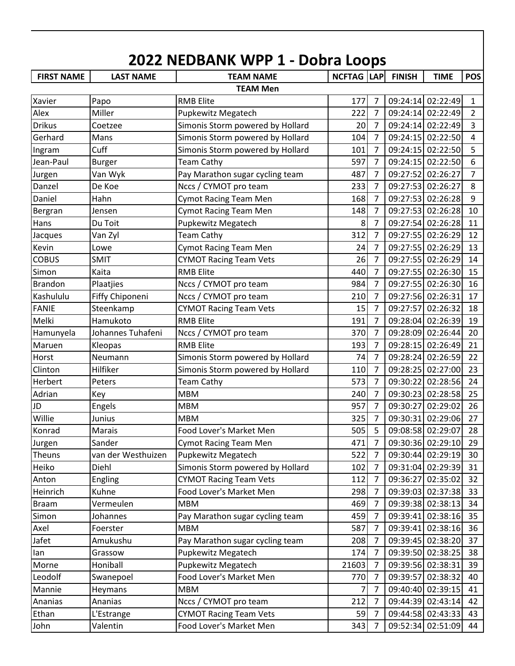|                   |                    | 2022 NEDBANK WPP 1 - Dobra Loops    |                   |                     |               |                   |                                |
|-------------------|--------------------|-------------------------------------|-------------------|---------------------|---------------|-------------------|--------------------------------|
| <b>FIRST NAME</b> | <b>LAST NAME</b>   | <b>TEAM NAME</b><br><b>TEAM Men</b> | <b>NCFTAG LAP</b> |                     | <b>FINISH</b> | <b>TIME</b>       | <b>POS</b>                     |
| Xavier            |                    | <b>RMB Elite</b>                    | 177               |                     |               | 09:24:14 02:22:49 |                                |
| Alex              | Papo<br>Miller     |                                     | 222               | 7<br>$\overline{7}$ |               | 09:24:14 02:22:49 | $\mathbf{1}$<br>$\overline{2}$ |
|                   |                    | Pupkewitz Megatech                  |                   |                     |               |                   |                                |
| <b>Drikus</b>     | Coetzee            | Simonis Storm powered by Hollard    | 20                | $\overline{7}$      |               | 09:24:14 02:22:49 | $\overline{3}$                 |
| Gerhard           | Mans               | Simonis Storm powered by Hollard    | 104               | 7                   |               | 09:24:15 02:22:50 | $\overline{4}$                 |
| Ingram            | Cuff               | Simonis Storm powered by Hollard    | 101               | 7                   |               | 09:24:15 02:22:50 | 5                              |
| Jean-Paul         | <b>Burger</b>      | <b>Team Cathy</b>                   | 597               | 7                   |               | 09:24:15 02:22:50 | 6                              |
| Jurgen            | Van Wyk            | Pay Marathon sugar cycling team     | 487               | $\overline{7}$      |               | 09:27:52 02:26:27 | $\overline{7}$                 |
| Danzel            | De Koe             | Nccs / CYMOT pro team               | 233               | 7                   |               | 09:27:53 02:26:27 | 8                              |
| Daniel            | Hahn               | <b>Cymot Racing Team Men</b>        | 168               | 7                   |               | 09:27:53 02:26:28 | 9                              |
| Bergran           | Jensen             | <b>Cymot Racing Team Men</b>        | 148               | 7                   |               | 09:27:53 02:26:28 | 10                             |
| Hans              | Du Toit            | Pupkewitz Megatech                  | 8                 | 7                   |               | 09:27:54 02:26:28 | 11                             |
| Jacques           | Van Zyl            | <b>Team Cathy</b>                   | 312               | 7                   |               | 09:27:55 02:26:29 | 12                             |
| Kevin             | Lowe               | Cymot Racing Team Men               | 24                | 7                   |               | 09:27:55 02:26:29 | 13                             |
| <b>COBUS</b>      | <b>SMIT</b>        | <b>CYMOT Racing Team Vets</b>       | 26                | $\overline{7}$      |               | 09:27:55 02:26:29 | 14                             |
| Simon             | Kaita              | <b>RMB Elite</b>                    | 440               | $\overline{7}$      |               | 09:27:55 02:26:30 | 15                             |
| <b>Brandon</b>    | Plaatjies          | Nccs / CYMOT pro team               | 984               | 7                   |               | 09:27:55 02:26:30 | 16                             |
| Kashululu         | Fiffy Chiponeni    | Nccs / CYMOT pro team               | 210               | $\overline{7}$      |               | 09:27:56 02:26:31 | 17                             |
| <b>FANIE</b>      | Steenkamp          | <b>CYMOT Racing Team Vets</b>       | 15                | 7                   | 09:27:57      | 02:26:32          | 18                             |
| Melki             | Hamukoto           | <b>RMB Elite</b>                    | 191               | 7                   |               | 09:28:04 02:26:39 | 19                             |
| Hamunyela         | Johannes Tuhafeni  | Nccs / CYMOT pro team               | 370               | 7                   |               | 09:28:09 02:26:44 | 20                             |
| Maruen            | Kleopas            | <b>RMB Elite</b>                    | 193               | 7                   |               | 09:28:15 02:26:49 | 21                             |
| Horst             | Neumann            | Simonis Storm powered by Hollard    | 74                | $\overline{7}$      |               | 09:28:24 02:26:59 | 22                             |
| Clinton           | Hilfiker           | Simonis Storm powered by Hollard    | 110               | 7                   |               | 09:28:25 02:27:00 | 23                             |
| Herbert           | Peters             | <b>Team Cathy</b>                   | 573               | 7                   |               | 09:30:22 02:28:56 | 24                             |
| Adrian            | Key                | <b>MBM</b>                          | 240               | 7                   |               | 09:30:23 02:28:58 | 25                             |
| JD                | Engels             | <b>MBM</b>                          | 957               | $\overline{7}$      | 09:30:27      | 02:29:02          | 26                             |
| Willie            | Junius             | <b>MBM</b>                          | 325               | 7                   |               | 09:30:31 02:29:06 | 27                             |
| Konrad            | Marais             | Food Lover's Market Men             | 505               | 5                   |               | 09:08:58 02:29:07 | 28                             |
| Jurgen            | Sander             | <b>Cymot Racing Team Men</b>        | 471               | $\overline{7}$      |               | 09:30:36 02:29:10 | 29                             |
| Theuns            | van der Westhuizen | <b>Pupkewitz Megatech</b>           | 522               | 7                   |               | 09:30:44 02:29:19 | 30                             |
| Heiko             | Diehl              | Simonis Storm powered by Hollard    | 102               | $\overline{7}$      |               | 09:31:04 02:29:39 | 31                             |
| Anton             | Engling            | <b>CYMOT Racing Team Vets</b>       | 112               | 7                   | 09:36:27      | 02:35:02          | 32                             |
| Heinrich          | Kuhne              | Food Lover's Market Men             | 298               | 7                   |               | 09:39:03 02:37:38 | 33                             |
| <b>Braam</b>      | Vermeulen          | <b>MBM</b>                          | 469               | 7                   |               | 09:39:38 02:38:13 | 34                             |
| Simon             | Johannes           | Pay Marathon sugar cycling team     | 459               | 7                   | 09:39:41      | 02:38:16          | 35                             |
| Axel              | Foerster           | <b>MBM</b>                          | 587               | 7                   | 09:39:41      | 02:38:16          | 36                             |
| Jafet             | Amukushu           | Pay Marathon sugar cycling team     | 208               | 7                   | 09:39:45      | 02:38:20          | 37                             |
| lan               | Grassow            | Pupkewitz Megatech                  | 174               | 7                   |               | 09:39:50 02:38:25 | 38                             |
| Morne             | Honiball           | Pupkewitz Megatech                  | 21603             | 7                   |               | 09:39:56 02:38:31 | 39                             |
| Leodolf           | Swanepoel          | Food Lover's Market Men             | 770               | 7                   | 09:39:57      | 02:38:32          | 40                             |
| Mannie            | Heymans            | <b>MBM</b>                          |                   | 7                   | 09:40:40      | 02:39:15          | 41                             |
| Ananias           | Ananias            | Nccs / CYMOT pro team               | 212               | 7                   | 09:44:39      | 02:43:14          | 42                             |
| Ethan             | L'Estrange         | <b>CYMOT Racing Team Vets</b>       | 59                | 7                   |               | 09:44:58 02:43:33 | 43                             |
| John              | Valentin           | Food Lover's Market Men             | 343               | 7                   |               | 09:52:34 02:51:09 | 44                             |
|                   |                    |                                     |                   |                     |               |                   |                                |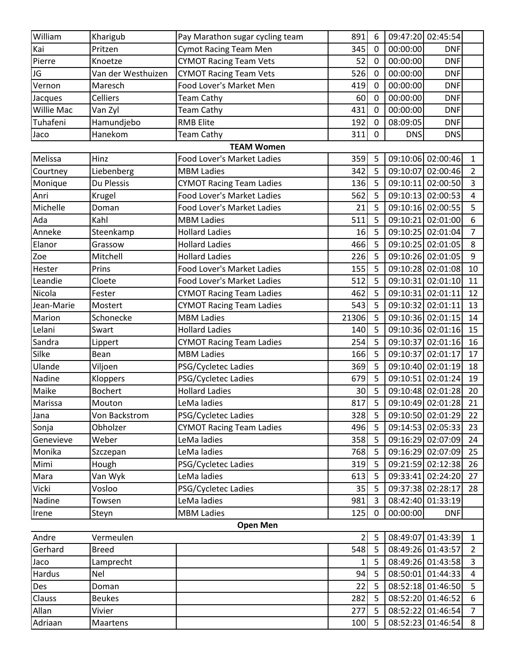| William           | Kharigub           | Pay Marathon sugar cycling team   | 891   | 6           |            | 09:47:20 02:45:54 |                |
|-------------------|--------------------|-----------------------------------|-------|-------------|------------|-------------------|----------------|
| Kai               | Pritzen            | <b>Cymot Racing Team Men</b>      | 345   | $\mathbf 0$ | 00:00:00   | <b>DNF</b>        |                |
| Pierre            | Knoetze            | <b>CYMOT Racing Team Vets</b>     | 52    | 0           | 00:00:00   | <b>DNF</b>        |                |
| JG                | Van der Westhuizen | <b>CYMOT Racing Team Vets</b>     | 526   | $\mathbf 0$ | 00:00:00   | <b>DNF</b>        |                |
| Vernon            | Maresch            | Food Lover's Market Men           | 419   | 0           | 00:00:00   | <b>DNF</b>        |                |
| Jacques           | Celliers           | <b>Team Cathy</b>                 | 60    | 0           | 00:00:00   | <b>DNF</b>        |                |
| <b>Willie Mac</b> | Van Zyl            | <b>Team Cathy</b>                 | 431   | 0           | 00:00:00   | <b>DNF</b>        |                |
| Tuhafeni          | Hamundjebo         | <b>RMB Elite</b>                  | 192   | 0           | 08:09:05   | <b>DNF</b>        |                |
| Jaco              | Hanekom            | <b>Team Cathy</b>                 | 311   | $\mathbf 0$ | <b>DNS</b> | <b>DNS</b>        |                |
|                   |                    | <b>TEAM Women</b>                 |       |             |            |                   |                |
| Melissa           | Hinz               | <b>Food Lover's Market Ladies</b> | 359   | 5           |            | 09:10:06 02:00:46 | 1              |
| Courtney          | Liebenberg         | <b>MBM Ladies</b>                 | 342   | 5           |            | 09:10:07 02:00:46 | $\overline{2}$ |
| Monique           | Du Plessis         | <b>CYMOT Racing Team Ladies</b>   | 136   | 5           |            | 09:10:11 02:00:50 | 3              |
| Anri              | Krugel             | Food Lover's Market Ladies        | 562   | 5           |            | 09:10:13 02:00:53 | 4              |
| Michelle          | Doman              | Food Lover's Market Ladies        | 21    | 5           |            | 09:10:16 02:00:55 | 5              |
| Ada               | Kahl               | <b>MBM Ladies</b>                 | 511   | 5           |            | 09:10:21 02:01:00 | 6              |
| Anneke            | Steenkamp          | <b>Hollard Ladies</b>             | 16    | 5           |            | 09:10:25 02:01:04 | $\overline{7}$ |
| Elanor            | Grassow            | <b>Hollard Ladies</b>             | 466   | 5           |            | 09:10:25 02:01:05 | 8              |
| Zoe               | Mitchell           | <b>Hollard Ladies</b>             | 226   | 5           |            | 09:10:26 02:01:05 | 9              |
| Hester            | Prins              | Food Lover's Market Ladies        | 155   | 5           |            | 09:10:28 02:01:08 | 10             |
| Leandie           | Cloete             | Food Lover's Market Ladies        | 512   | 5           |            | 09:10:31 02:01:10 | 11             |
| Nicola            | Fester             | <b>CYMOT Racing Team Ladies</b>   | 462   | 5           |            | 09:10:31 02:01:11 | 12             |
| Jean-Marie        | Mostert            | <b>CYMOT Racing Team Ladies</b>   | 543   | 5           |            | 09:10:32 02:01:11 | 13             |
| Marion            | Schonecke          | <b>MBM Ladies</b>                 | 21306 | 5           |            | 09:10:36 02:01:15 | 14             |
| Lelani            | Swart              | <b>Hollard Ladies</b>             | 140   | 5           |            | 09:10:36 02:01:16 | 15             |
| Sandra            | Lippert            | <b>CYMOT Racing Team Ladies</b>   | 254   | 5           |            | 09:10:37 02:01:16 | 16             |
| Silke             | Bean               | <b>MBM Ladies</b>                 | 166   | 5           |            | 09:10:37 02:01:17 | 17             |
| Ulande            | Viljoen            | PSG/Cycletec Ladies               | 369   | 5           |            | 09:10:40 02:01:19 | 18             |
| Nadine            | Kloppers           | PSG/Cycletec Ladies               | 679   | 5           |            | 09:10:51 02:01:24 | 19             |
| Maike             | <b>Bochert</b>     | <b>Hollard Ladies</b>             | 30    | 5           |            | 09:10:48 02:01:28 | 20             |
| Marissa           | Mouton             | LeMa ladies                       | 817   | 5           |            | 09:10:49 02:01:28 | 21             |
| Jana              | Von Backstrom      | PSG/Cycletec Ladies               | 328   | 5           |            | 09:10:50 02:01:29 | 22             |
| Sonja             | Obholzer           | <b>CYMOT Racing Team Ladies</b>   | 496   | 5           |            | 09:14:53 02:05:33 | 23             |
| Genevieve         | Weber              | LeMa ladies                       | 358   | 5           |            | 09:16:29 02:07:09 | 24             |
| Monika            | Szczepan           | LeMa ladies                       | 768   | 5           |            | 09:16:29 02:07:09 | 25             |
| Mimi              | Hough              | PSG/Cycletec Ladies               | 319   | 5           |            | 09:21:59 02:12:38 | 26             |
| Mara              | Van Wyk            | LeMa ladies                       | 613   | 5           |            | 09:33:41 02:24:20 | 27             |
| Vicki             | Vosloo             | PSG/Cycletec Ladies               | 35    | 5           |            | 09:37:38 02:28:17 | 28             |
| Nadine            | Towsen             | LeMa ladies                       | 981   | 3           |            | 08:42:40 01:33:19 |                |
| Irene             | Steyn              | <b>MBM Ladies</b>                 | 125   | $\mathbf 0$ | 00:00:00   | <b>DNF</b>        |                |
|                   |                    | <b>Open Men</b>                   |       |             |            |                   |                |
| Andre             | Vermeulen          |                                   | 2     | 5           |            | 08:49:07 01:43:39 | $\mathbf{1}$   |
| Gerhard           | <b>Breed</b>       |                                   | 548   | 5           |            | 08:49:26 01:43:57 | $\overline{2}$ |
| Jaco              | Lamprecht          |                                   | 1     | 5           |            | 08:49:26 01:43:58 | 3              |
| Hardus            | <b>Nel</b>         |                                   | 94    | 5           |            | 08:50:01 01:44:33 | 4              |
| Des               | Doman              |                                   | 22    | 5           |            | 08:52:18 01:46:50 | 5              |
| Clauss            | <b>Beukes</b>      |                                   | 282   | 5           |            | 08:52:20 01:46:52 | 6              |
| Allan             | Vivier             |                                   | 277   | 5           |            | 08:52:22 01:46:54 | $\overline{7}$ |
| Adriaan           | Maartens           |                                   | 100   | 5           |            | 08:52:23 01:46:54 | 8              |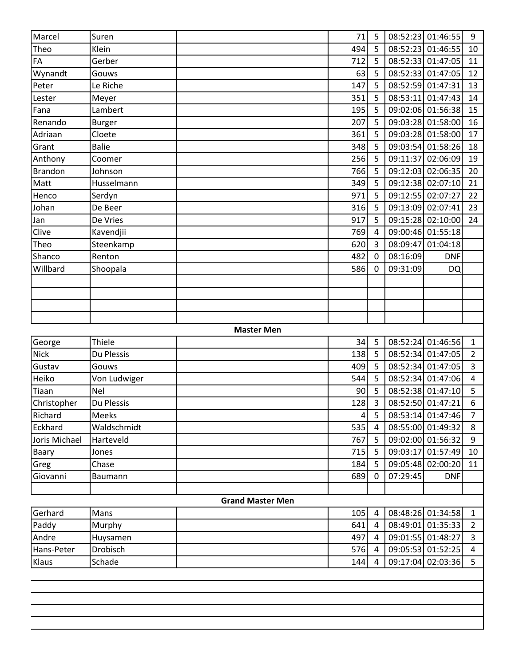| Marcel        | Suren         |                         | 71             | 5              |          | 08:52:23 01:46:55 | 9              |
|---------------|---------------|-------------------------|----------------|----------------|----------|-------------------|----------------|
| Theo          | Klein         |                         | 494            | 5              | 08:52:23 | 01:46:55          | 10             |
| FA            | Gerber        |                         | 712            | 5              |          | 08:52:33 01:47:05 | 11             |
| Wynandt       | Gouws         |                         | 63             | 5              |          | 08:52:33 01:47:05 | 12             |
| Peter         | Le Riche      |                         | 147            | 5              |          | 08:52:59 01:47:31 | 13             |
| Lester        | Meyer         |                         | 351            | 5              |          | 08:53:11 01:47:43 | 14             |
| Fana          | Lambert       |                         | 195            | 5              |          | 09:02:06 01:56:38 | 15             |
| Renando       | <b>Burger</b> |                         | 207            | 5              |          | 09:03:28 01:58:00 | 16             |
| Adriaan       | Cloete        |                         | 361            | 5              |          | 09:03:28 01:58:00 | 17             |
| Grant         | <b>Balie</b>  |                         | 348            | 5              |          | 09:03:54 01:58:26 | 18             |
| Anthony       | Coomer        |                         | 256            | 5              | 09:11:37 | 02:06:09          | 19             |
| Brandon       | Johnson       |                         | 766            | 5              |          | 09:12:03 02:06:35 | 20             |
| Matt          | Husselmann    |                         | 349            | 5              |          | 09:12:38 02:07:10 | 21             |
| Henco         | Serdyn        |                         | 971            | 5              |          | 09:12:55 02:07:27 | 22             |
| Johan         | De Beer       |                         | 316            | 5              |          | 09:13:09 02:07:41 | 23             |
| Jan           | De Vries      |                         | 917            | 5              |          | 09:15:28 02:10:00 | 24             |
| Clive         | Kavendjii     |                         | 769            | $\overline{4}$ |          | 09:00:46 01:55:18 |                |
| Theo          | Steenkamp     |                         | 620            | $\overline{3}$ | 08:09:47 | 01:04:18          |                |
| Shanco        | Renton        |                         | 482            | $\Omega$       | 08:16:09 | <b>DNF</b>        |                |
| Willbard      | Shoopala      |                         | 586            | $\mathbf 0$    | 09:31:09 | DQ                |                |
|               |               |                         |                |                |          |                   |                |
|               |               |                         |                |                |          |                   |                |
|               |               |                         |                |                |          |                   |                |
|               |               |                         |                |                |          |                   |                |
|               |               | <b>Master Men</b>       |                |                |          |                   |                |
| George        | Thiele        |                         | 34             | 5              |          | 08:52:24 01:46:56 | $\mathbf{1}$   |
| <b>Nick</b>   | Du Plessis    |                         | 138            | 5              |          | 08:52:34 01:47:05 | $\overline{2}$ |
| Gustav        | Gouws         |                         | 409            | 5              |          | 08:52:34 01:47:05 | $\overline{3}$ |
| Heiko         | Von Ludwiger  |                         | 544            | 5              |          | 08:52:34 01:47:06 | $\overline{4}$ |
| Tiaan         | <b>Nel</b>    |                         | 90             | 5              |          | 08:52:38 01:47:10 | 5              |
| Christopher   | Du Plessis    |                         | 128            | $\overline{3}$ |          | 08:52:50 01:47:21 | 6              |
| Richard       | Meeks         |                         | $\overline{4}$ | 5              |          | 08:53:14 01:47:46 | $\overline{7}$ |
| Eckhard       | Waldschmidt   |                         | 535            | $\overline{4}$ |          | 08:55:00 01:49:32 | 8              |
| Joris Michael | Harteveld     |                         | 767            | 5 <sub>1</sub> |          | 09:02:00 01:56:32 | 9              |
| Baary         | Jones         |                         | 715            | 5 <sub>1</sub> |          | 09:03:17 01:57:49 | 10             |
| Greg          | Chase         |                         | 184            | 5 <sub>1</sub> |          | 09:05:48 02:00:20 | 11             |
| Giovanni      | Baumann       |                         | 689            | $\mathbf 0$    | 07:29:45 | <b>DNF</b>        |                |
|               |               |                         |                |                |          |                   |                |
|               |               | <b>Grand Master Men</b> |                |                |          |                   |                |
| Gerhard       | Mans          |                         | 105            | 4              |          | 08:48:26 01:34:58 | $\mathbf{1}$   |
| Paddy         | Murphy        |                         | 641            | $\overline{4}$ |          | 08:49:01 01:35:33 | $\overline{2}$ |
| Andre         | Huysamen      |                         | 497            | $\overline{4}$ |          | 09:01:55 01:48:27 | 3              |
| Hans-Peter    | Drobisch      |                         | 576            | 4              |          | 09:05:53 01:52:25 | 4              |
| Klaus         | Schade        |                         | 144            | $\overline{4}$ |          | 09:17:04 02:03:36 | 5              |
|               |               |                         |                |                |          |                   |                |
|               |               |                         |                |                |          |                   |                |
|               |               |                         |                |                |          |                   |                |
|               |               |                         |                |                |          |                   |                |
|               |               |                         |                |                |          |                   |                |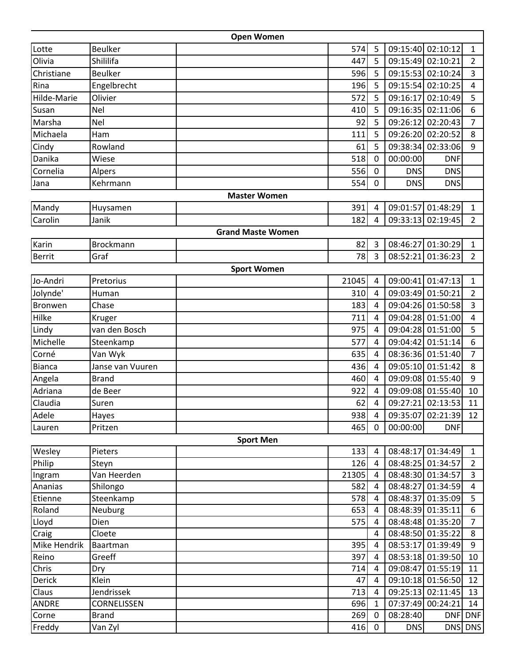|                |                  | <b>Open Women</b>        |       |                |            |                   |                |
|----------------|------------------|--------------------------|-------|----------------|------------|-------------------|----------------|
| Lotte          | <b>Beulker</b>   |                          | 574   | 5              |            | 09:15:40 02:10:12 | 1              |
| Olivia         | Shililifa        |                          | 447   | 5              |            | 09:15:49 02:10:21 | $\overline{2}$ |
| Christiane     | <b>Beulker</b>   |                          | 596   | 5              | 09:15:53   | 02:10:24          | 3              |
| Rina           | Engelbrecht      |                          | 196   | 5              | 09:15:54   | 02:10:25          | $\overline{4}$ |
| Hilde-Marie    | Olivier          |                          | 572   | 5              |            | 09:16:17 02:10:49 | 5              |
| Susan          | Nel              |                          | 410   | 5              |            | 09:16:35 02:11:06 | 6              |
| Marsha         | Nel              |                          | 92    | 5              |            | 09:26:12 02:20:43 | $\overline{7}$ |
| Michaela       | <b>Ham</b>       |                          | 111   | 5              | 09:26:20   | 02:20:52          | 8              |
| Cindy          | Rowland          |                          | 61    | 5              |            | 09:38:34 02:33:06 | 9              |
| Danika         | Wiese            |                          | 518   | 0              | 00:00:00   | <b>DNF</b>        |                |
| Cornelia       | Alpers           |                          | 556   | 0              | <b>DNS</b> | <b>DNS</b>        |                |
| Jana           | Kehrmann         |                          | 554   | 0              | <b>DNS</b> | <b>DNS</b>        |                |
|                |                  | <b>Master Women</b>      |       |                |            |                   |                |
| Mandy          | Huysamen         |                          | 391   | 4              | 09:01:57   | 01:48:29          | $\mathbf{1}$   |
| Carolin        | Janik            |                          | 182   | 4              | 09:33:13   | 02:19:45          | $\overline{2}$ |
|                |                  | <b>Grand Maste Women</b> |       |                |            |                   |                |
| Karin          | <b>Brockmann</b> |                          | 82    | 3              |            | 08:46:27 01:30:29 | 1              |
| Berrit         | Graf             |                          | 78    | 3              | 08:52:21   | 01:36:23          | $\overline{2}$ |
|                |                  | <b>Sport Women</b>       |       |                |            |                   |                |
| Jo-Andri       | Pretorius        |                          | 21045 | 4              |            | 09:00:41 01:47:13 | $\mathbf{1}$   |
| Jolynde'       | Human            |                          | 310   | $\overline{4}$ |            | 09:03:49 01:50:21 | $\overline{2}$ |
| <b>Bronwen</b> | Chase            |                          | 183   | $\overline{4}$ |            | 09:04:26 01:50:58 | 3              |
| Hilke          | Kruger           |                          | 711   | 4              |            | 09:04:28 01:51:00 | $\overline{4}$ |
| Lindy          | van den Bosch    |                          | 975   | $\overline{4}$ |            | 09:04:28 01:51:00 | 5              |
| Michelle       | Steenkamp        |                          | 577   | 4              |            | 09:04:42 01:51:14 | 6              |
| Corné          | Van Wyk          |                          | 635   | 4              |            | 08:36:36 01:51:40 | $\overline{7}$ |
| <b>Bianca</b>  | Janse van Vuuren |                          | 436   | 4              |            | 09:05:10 01:51:42 | 8              |
| Angela         | <b>Brand</b>     |                          | 460   | $\overline{4}$ |            | 09:09:08 01:55:40 | 9              |
| Adriana        | de Beer          |                          | 922   | 4              |            | 09:09:08 01:55:40 | 10             |
| Claudia        | Suren            |                          | 62    | 4              | 09:27:21   | 02:13:53          | 11             |
| Adele          | Hayes            |                          | 938   | $\overline{4}$ |            | 09:35:07 02:21:39 | 12             |
| Lauren         | Pritzen          |                          | 465   | 0              | 00:00:00   | <b>DNF</b>        |                |
|                |                  | <b>Sport Men</b>         |       |                |            |                   |                |
| Wesley         | Pieters          |                          | 133   | 4              |            | 08:48:17 01:34:49 | $\mathbf{1}$   |
| Philip         | Steyn            |                          | 126   | 4              |            | 08:48:25 01:34:57 | $\overline{2}$ |
| Ingram         | Van Heerden      |                          | 21305 | 4              |            | 08:48:30 01:34:57 | 3              |
| Ananias        | Shilongo         |                          | 582   | 4              |            | 08:48:27 01:34:59 | 4              |
| Etienne        | Steenkamp        |                          | 578   | 4              |            | 08:48:37 01:35:09 | 5              |
| Roland         | Neuburg          |                          | 653   | 4              |            | 08:48:39 01:35:11 | 6              |
| Lloyd          | Dien             |                          | 575   | 4              |            | 08:48:48 01:35:20 | $\overline{7}$ |
| Craig          | Cloete           |                          |       | 4              |            | 08:48:50 01:35:22 | 8              |
| Mike Hendrik   | Baartman         |                          | 395   | 4              |            | 08:53:17 01:39:49 | 9              |
| Reino          | Greeff           |                          | 397   | 4              |            | 08:53:18 01:39:50 | 10             |
| Chris          | Dry              |                          | 714   | 4              |            | 09:08:47 01:55:19 | 11             |
| Derick         | Klein            |                          | 47    | 4              |            | 09:10:18 01:56:50 | 12             |
| Claus          | Jendrissek       |                          | 713   | 4              |            | 09:25:13 02:11:45 | 13             |
| <b>ANDRE</b>   | CORNELISSEN      |                          | 696   | 1              |            | 07:37:49 00:24:21 | 14             |
| Corne          | <b>Brand</b>     |                          | 269   | 0              | 08:28:40   | <b>DNF</b>        | <b>DNF</b>     |
| Freddy         | Van Zyl          |                          | 416   | $\mathbf 0$    | <b>DNS</b> |                   | DNS DNS        |